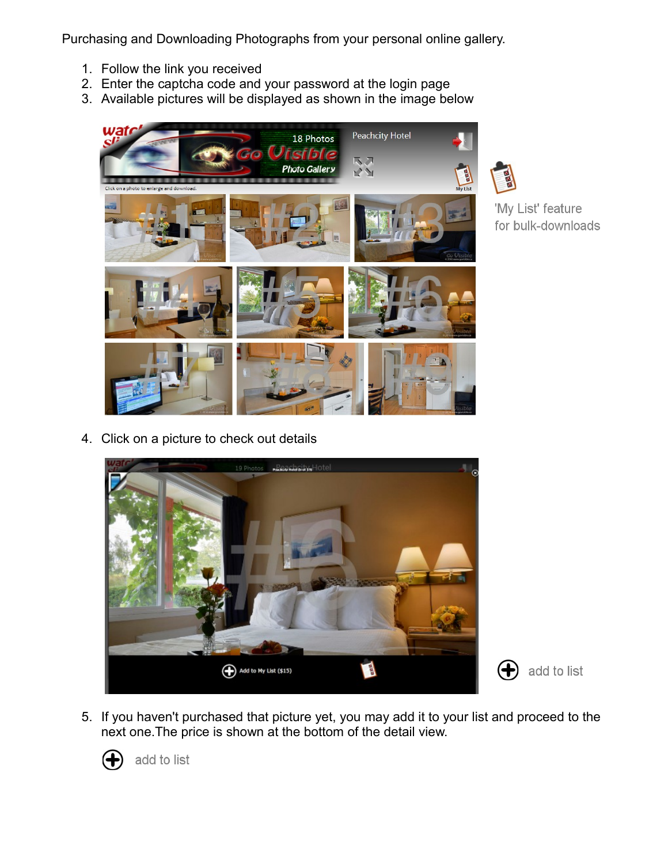Purchasing and Downloading Photographs from your personal online gallery.

- 1. Follow the link you received
- 2. Enter the captcha code and your password at the login page
- 3. Available pictures will be displayed as shown in the image below



'My List' feature for bulk-downloads

4. Click on a picture to check out details



- $\left( \bigoplus \right)$  add to list
- 5. If you haven't purchased that picture yet, you may add it to your list and proceed to the next one.The price is shown at the bottom of the detail view.



add to list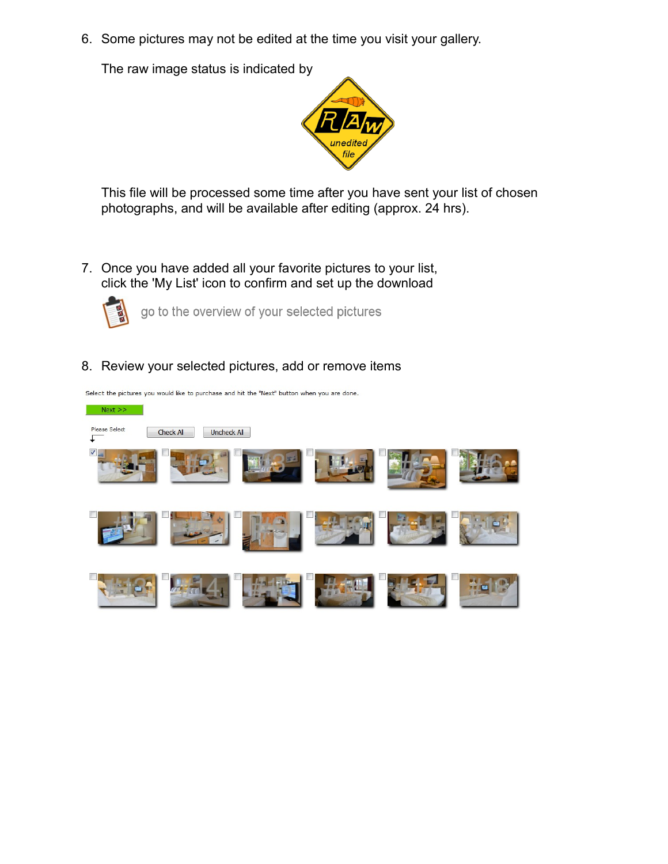6. Some pictures may not be edited at the time you visit your gallery.

The raw image status is indicated by



This file will be processed some time after you have sent your list of chosen photographs, and will be available after editing (approx. 24 hrs).

7. Once you have added all your favorite pictures to your list, click the 'My List' icon to confirm and set up the download



go to the overview of your selected pictures

8. Review your selected pictures, add or remove items



Select the pictures you would like to purchase and hit the "Next" button when you are done.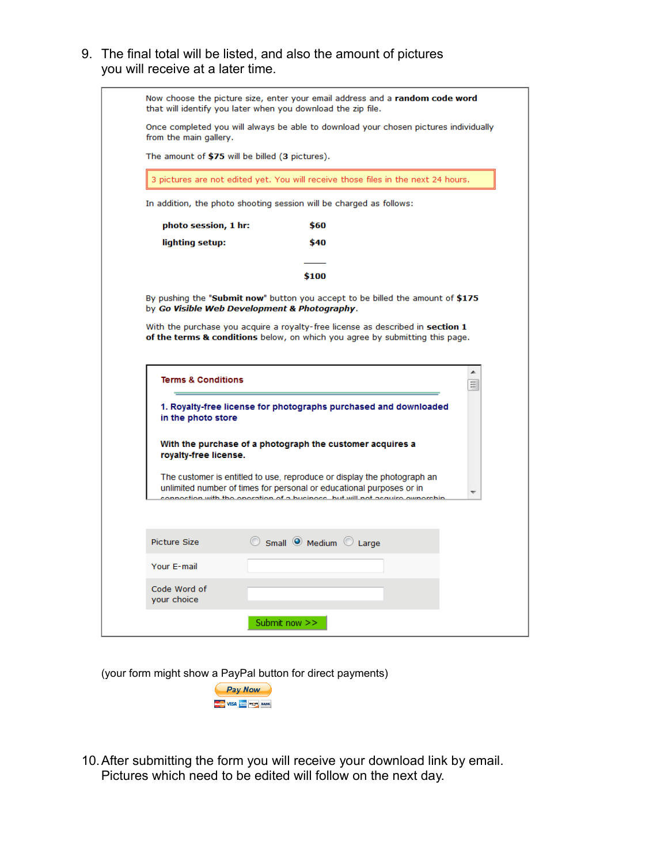9. The final total will be listed, and also the amount of pictures you will receive at a later time.

| from the main gallery.                          | Once completed you will always be able to download your chosen pictures individually                                                                                                                                                                                                            |        |
|-------------------------------------------------|-------------------------------------------------------------------------------------------------------------------------------------------------------------------------------------------------------------------------------------------------------------------------------------------------|--------|
| The amount of \$75 will be billed (3 pictures). |                                                                                                                                                                                                                                                                                                 |        |
|                                                 | 3 pictures are not edited yet. You will receive those files in the next 24 hours.                                                                                                                                                                                                               |        |
|                                                 | In addition, the photo shooting session will be charged as follows:                                                                                                                                                                                                                             |        |
| photo session, 1 hr:                            | \$60                                                                                                                                                                                                                                                                                            |        |
| lighting setup:                                 | \$40                                                                                                                                                                                                                                                                                            |        |
|                                                 | \$100                                                                                                                                                                                                                                                                                           |        |
|                                                 | With the purchase you acquire a royalty-free license as described in section 1<br>of the terms & conditions below, on which you agree by submitting this page.                                                                                                                                  |        |
| <b>Terms &amp; Conditions</b>                   |                                                                                                                                                                                                                                                                                                 | ▲<br>Ξ |
| in the photo store                              | 1. Royalty-free license for photographs purchased and downloaded                                                                                                                                                                                                                                |        |
| royalty-free license.                           | With the purchase of a photograph the customer acquires a<br>The customer is entitled to use, reproduce or display the photograph an<br>unlimited number of times for personal or educational purposes or in<br><u>soction with the energtion of a business. but will not assuire ewnership</u> |        |
| Picture Size<br>Your E-mail                     | Small O Medium C Large                                                                                                                                                                                                                                                                          |        |

(your form might show a PayPal button for direct payments)



10.After submitting the form you will receive your download link by email. Pictures which need to be edited will follow on the next day.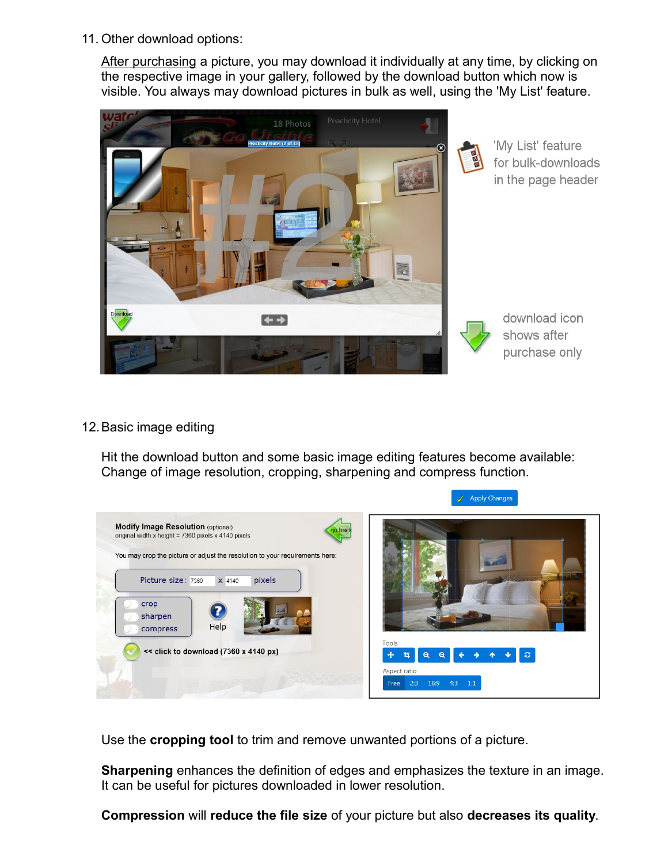11. Other download options:

After purchasing a picture, you may download it individually at any time, by clicking on the respective image in your gallery, followed by the download button which now is visible. You always may download pictures in bulk as well, using the 'My List' feature.



'My List' feature for bulk-downloads in the page header



download icon shows after purchase only

12.Basic image editing

Hit the download button and some basic image editing features become available: Change of image resolution, cropping, sharpening and compress function.



Use the **cropping tool** to trim and remove unwanted portions of a picture.

**Sharpening** enhances the definition of edges and emphasizes the texture in an image. It can be useful for pictures downloaded in lower resolution.

**Compression** will **reduce the file size** of your picture but also **decreases its quality**.